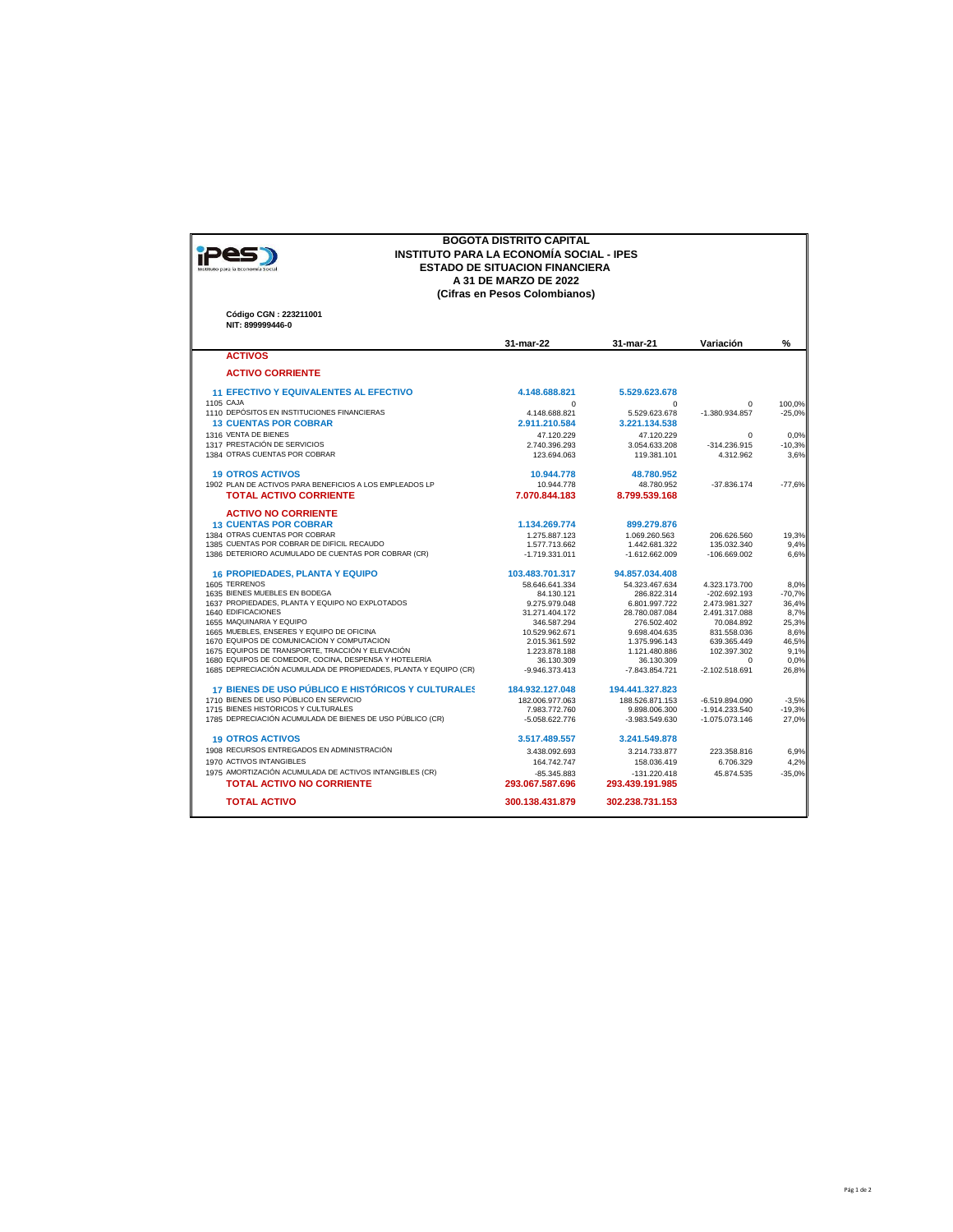| (Cifras en Pesos Colombianos)<br>Código CGN: 223211001<br>NIT: 899999446-0<br><b>ACTIVOS</b><br><b>ACTIVO CORRIENTE</b><br><b>11 EFECTIVO Y EQUIVALENTES AL EFECTIVO</b><br>1105 CAJA<br>1110 DEPÓSITOS EN INSTITUCIONES FINANCIERAS<br><b>13 CUENTAS POR COBRAR</b><br>1316 VENTA DE BIENES<br>1317 PRESTACIÓN DE SERVICIOS<br>1384 OTRAS CUENTAS POR COBRAR<br><b>19 OTROS ACTIVOS</b><br>1902 PLAN DE ACTIVOS PARA BENEFICIOS A LOS EMPLEADOS LP<br><b>TOTAL ACTIVO CORRIENTE</b><br><b>ACTIVO NO CORRIENTE</b><br><b>13 CUENTAS POR COBRAR</b><br>1384 OTRAS CUENTAS POR COBRAR<br>1385 CUENTAS POR COBRAR DE DIFÍCIL RECAUDO<br>1386 DETERIORO ACUMULADO DE CUENTAS POR COBRAR (CR)<br><b>16 PROPIEDADES, PLANTA Y EQUIPO</b><br>1605 TERRENOS<br>1635 BIENES MUEBLES EN BODEGA<br>1637 PROPIEDADES, PLANTA Y EQUIPO NO EXPLOTADOS<br>1640 EDIFICACIONES<br>1655 MAQUINARIA Y EQUIPO<br>1665 MUEBLES, ENSERES Y EQUIPO DE OFICINA<br>1670 EQUIPOS DE COMUNICACIÓN Y COMPUTACIÓN<br>1675 EQUIPOS DE TRANSPORTE, TRACCIÓN Y ELEVACIÓN<br>1680 EQUIPOS DE COMEDOR, COCINA, DESPENSA Y HOTELERÍA<br>1685 DEPRECIACIÓN ACUMULADA DE PROPIEDADES, PLANTA Y EQUIPO (CR)<br>17 BIENES DE USO PÚBLICO E HISTÓRICOS Y CULTURALES<br>1710 BIENES DE USO PÚBLICO EN SERVICIO<br>1715 BIENES HISTÓRICOS Y CULTURALES | 31-mar-22<br>4.148.688.821<br>$\Omega$<br>4.148.688.821<br>2.911.210.584<br>47.120.229<br>2.740.396.293<br>123.694.063 | 31-mar-21<br>5.529.623.678<br>$\mathbf 0$<br>5.529.623.678<br>3.221.134.538<br>47.120.229<br>3.054.633.208<br>119.381.101 | Variación<br>$\mathbf 0$<br>$-1.380.934.857$<br>$\Omega$<br>-314.236.915<br>4.312.962 | %<br>100.0%<br>$-25,0%$ |
|--------------------------------------------------------------------------------------------------------------------------------------------------------------------------------------------------------------------------------------------------------------------------------------------------------------------------------------------------------------------------------------------------------------------------------------------------------------------------------------------------------------------------------------------------------------------------------------------------------------------------------------------------------------------------------------------------------------------------------------------------------------------------------------------------------------------------------------------------------------------------------------------------------------------------------------------------------------------------------------------------------------------------------------------------------------------------------------------------------------------------------------------------------------------------------------------------------------------------------------------------------------------------------------------------------------|------------------------------------------------------------------------------------------------------------------------|---------------------------------------------------------------------------------------------------------------------------|---------------------------------------------------------------------------------------|-------------------------|
|                                                                                                                                                                                                                                                                                                                                                                                                                                                                                                                                                                                                                                                                                                                                                                                                                                                                                                                                                                                                                                                                                                                                                                                                                                                                                                              |                                                                                                                        |                                                                                                                           |                                                                                       |                         |
|                                                                                                                                                                                                                                                                                                                                                                                                                                                                                                                                                                                                                                                                                                                                                                                                                                                                                                                                                                                                                                                                                                                                                                                                                                                                                                              |                                                                                                                        |                                                                                                                           |                                                                                       |                         |
|                                                                                                                                                                                                                                                                                                                                                                                                                                                                                                                                                                                                                                                                                                                                                                                                                                                                                                                                                                                                                                                                                                                                                                                                                                                                                                              |                                                                                                                        |                                                                                                                           |                                                                                       |                         |
|                                                                                                                                                                                                                                                                                                                                                                                                                                                                                                                                                                                                                                                                                                                                                                                                                                                                                                                                                                                                                                                                                                                                                                                                                                                                                                              |                                                                                                                        |                                                                                                                           |                                                                                       |                         |
|                                                                                                                                                                                                                                                                                                                                                                                                                                                                                                                                                                                                                                                                                                                                                                                                                                                                                                                                                                                                                                                                                                                                                                                                                                                                                                              |                                                                                                                        |                                                                                                                           |                                                                                       |                         |
|                                                                                                                                                                                                                                                                                                                                                                                                                                                                                                                                                                                                                                                                                                                                                                                                                                                                                                                                                                                                                                                                                                                                                                                                                                                                                                              |                                                                                                                        |                                                                                                                           |                                                                                       |                         |
|                                                                                                                                                                                                                                                                                                                                                                                                                                                                                                                                                                                                                                                                                                                                                                                                                                                                                                                                                                                                                                                                                                                                                                                                                                                                                                              |                                                                                                                        |                                                                                                                           |                                                                                       |                         |
|                                                                                                                                                                                                                                                                                                                                                                                                                                                                                                                                                                                                                                                                                                                                                                                                                                                                                                                                                                                                                                                                                                                                                                                                                                                                                                              |                                                                                                                        |                                                                                                                           |                                                                                       |                         |
|                                                                                                                                                                                                                                                                                                                                                                                                                                                                                                                                                                                                                                                                                                                                                                                                                                                                                                                                                                                                                                                                                                                                                                                                                                                                                                              |                                                                                                                        |                                                                                                                           |                                                                                       | 0,0%                    |
|                                                                                                                                                                                                                                                                                                                                                                                                                                                                                                                                                                                                                                                                                                                                                                                                                                                                                                                                                                                                                                                                                                                                                                                                                                                                                                              |                                                                                                                        |                                                                                                                           |                                                                                       | $-10,3%$                |
|                                                                                                                                                                                                                                                                                                                                                                                                                                                                                                                                                                                                                                                                                                                                                                                                                                                                                                                                                                                                                                                                                                                                                                                                                                                                                                              |                                                                                                                        |                                                                                                                           |                                                                                       | 3,6%                    |
|                                                                                                                                                                                                                                                                                                                                                                                                                                                                                                                                                                                                                                                                                                                                                                                                                                                                                                                                                                                                                                                                                                                                                                                                                                                                                                              | 10.944.778                                                                                                             | 48.780.952                                                                                                                |                                                                                       |                         |
|                                                                                                                                                                                                                                                                                                                                                                                                                                                                                                                                                                                                                                                                                                                                                                                                                                                                                                                                                                                                                                                                                                                                                                                                                                                                                                              | 10.944.778                                                                                                             | 48.780.952                                                                                                                | $-37.836.174$                                                                         | $-77,6%$                |
|                                                                                                                                                                                                                                                                                                                                                                                                                                                                                                                                                                                                                                                                                                                                                                                                                                                                                                                                                                                                                                                                                                                                                                                                                                                                                                              | 7.070.844.183                                                                                                          | 8.799.539.168                                                                                                             |                                                                                       |                         |
|                                                                                                                                                                                                                                                                                                                                                                                                                                                                                                                                                                                                                                                                                                                                                                                                                                                                                                                                                                                                                                                                                                                                                                                                                                                                                                              |                                                                                                                        |                                                                                                                           |                                                                                       |                         |
|                                                                                                                                                                                                                                                                                                                                                                                                                                                                                                                                                                                                                                                                                                                                                                                                                                                                                                                                                                                                                                                                                                                                                                                                                                                                                                              |                                                                                                                        |                                                                                                                           |                                                                                       |                         |
|                                                                                                                                                                                                                                                                                                                                                                                                                                                                                                                                                                                                                                                                                                                                                                                                                                                                                                                                                                                                                                                                                                                                                                                                                                                                                                              | 1.134.269.774                                                                                                          | 899.279.876                                                                                                               |                                                                                       |                         |
|                                                                                                                                                                                                                                                                                                                                                                                                                                                                                                                                                                                                                                                                                                                                                                                                                                                                                                                                                                                                                                                                                                                                                                                                                                                                                                              | 1.275.887.123                                                                                                          | 1.069.260.563                                                                                                             | 206.626.560                                                                           | 19,3%                   |
|                                                                                                                                                                                                                                                                                                                                                                                                                                                                                                                                                                                                                                                                                                                                                                                                                                                                                                                                                                                                                                                                                                                                                                                                                                                                                                              | 1.577.713.662                                                                                                          | 1.442.681.322                                                                                                             | 135.032.340                                                                           | 9,4%                    |
|                                                                                                                                                                                                                                                                                                                                                                                                                                                                                                                                                                                                                                                                                                                                                                                                                                                                                                                                                                                                                                                                                                                                                                                                                                                                                                              | $-1.719.331.011$                                                                                                       | $-1.612.662.009$                                                                                                          | $-106.669.002$                                                                        | 6.6%                    |
|                                                                                                                                                                                                                                                                                                                                                                                                                                                                                                                                                                                                                                                                                                                                                                                                                                                                                                                                                                                                                                                                                                                                                                                                                                                                                                              | 103.483.701.317                                                                                                        | 94.857.034.408                                                                                                            |                                                                                       |                         |
|                                                                                                                                                                                                                                                                                                                                                                                                                                                                                                                                                                                                                                                                                                                                                                                                                                                                                                                                                                                                                                                                                                                                                                                                                                                                                                              | 58.646.641.334                                                                                                         | 54.323.467.634                                                                                                            | 4.323.173.700                                                                         | 8.0%                    |
|                                                                                                                                                                                                                                                                                                                                                                                                                                                                                                                                                                                                                                                                                                                                                                                                                                                                                                                                                                                                                                                                                                                                                                                                                                                                                                              | 84.130.121                                                                                                             | 286.822.314                                                                                                               | $-202.692.193$                                                                        | $-70.7%$                |
|                                                                                                                                                                                                                                                                                                                                                                                                                                                                                                                                                                                                                                                                                                                                                                                                                                                                                                                                                                                                                                                                                                                                                                                                                                                                                                              | 9.275.979.048                                                                                                          | 6.801.997.722                                                                                                             | 2.473.981.327                                                                         | 36,4%                   |
|                                                                                                                                                                                                                                                                                                                                                                                                                                                                                                                                                                                                                                                                                                                                                                                                                                                                                                                                                                                                                                                                                                                                                                                                                                                                                                              | 31.271.404.172                                                                                                         | 28.780.087.084                                                                                                            | 2.491.317.088                                                                         | 8,7%                    |
|                                                                                                                                                                                                                                                                                                                                                                                                                                                                                                                                                                                                                                                                                                                                                                                                                                                                                                                                                                                                                                                                                                                                                                                                                                                                                                              | 346.587.294                                                                                                            | 276.502.402                                                                                                               | 70.084.892                                                                            | 25,3%                   |
|                                                                                                                                                                                                                                                                                                                                                                                                                                                                                                                                                                                                                                                                                                                                                                                                                                                                                                                                                                                                                                                                                                                                                                                                                                                                                                              | 10.529.962.671                                                                                                         | 9.698.404.635                                                                                                             | 831.558.036                                                                           | 8,6%                    |
|                                                                                                                                                                                                                                                                                                                                                                                                                                                                                                                                                                                                                                                                                                                                                                                                                                                                                                                                                                                                                                                                                                                                                                                                                                                                                                              | 2.015.361.592                                                                                                          | 1.375.996.143                                                                                                             | 639.365.449                                                                           | 46.5%                   |
|                                                                                                                                                                                                                                                                                                                                                                                                                                                                                                                                                                                                                                                                                                                                                                                                                                                                                                                                                                                                                                                                                                                                                                                                                                                                                                              | 1.223.878.188                                                                                                          | 1.121.480.886                                                                                                             | 102.397.302                                                                           | 9.1%                    |
|                                                                                                                                                                                                                                                                                                                                                                                                                                                                                                                                                                                                                                                                                                                                                                                                                                                                                                                                                                                                                                                                                                                                                                                                                                                                                                              | 36.130.309                                                                                                             | 36.130.309                                                                                                                | $\Omega$                                                                              | 0,0%                    |
|                                                                                                                                                                                                                                                                                                                                                                                                                                                                                                                                                                                                                                                                                                                                                                                                                                                                                                                                                                                                                                                                                                                                                                                                                                                                                                              | $-9.946.373.413$                                                                                                       | -7.843.854.721                                                                                                            | $-2.102.518.691$                                                                      | 26,8%                   |
|                                                                                                                                                                                                                                                                                                                                                                                                                                                                                                                                                                                                                                                                                                                                                                                                                                                                                                                                                                                                                                                                                                                                                                                                                                                                                                              | 184.932.127.048                                                                                                        | 194.441.327.823                                                                                                           |                                                                                       |                         |
|                                                                                                                                                                                                                                                                                                                                                                                                                                                                                                                                                                                                                                                                                                                                                                                                                                                                                                                                                                                                                                                                                                                                                                                                                                                                                                              | 182.006.977.063                                                                                                        | 188.526.871.153                                                                                                           | $-6.519.894.090$                                                                      | $-3,5%$                 |
|                                                                                                                                                                                                                                                                                                                                                                                                                                                                                                                                                                                                                                                                                                                                                                                                                                                                                                                                                                                                                                                                                                                                                                                                                                                                                                              |                                                                                                                        | 9.898.006.300                                                                                                             | -1.914.233.540                                                                        | $-19,3%$                |
| 1785 DEPRECIACIÓN ACUMULADA DE BIENES DE USO PÚBLICO (CR)                                                                                                                                                                                                                                                                                                                                                                                                                                                                                                                                                                                                                                                                                                                                                                                                                                                                                                                                                                                                                                                                                                                                                                                                                                                    | 7.983.772.760                                                                                                          | $-3.983.549.630$                                                                                                          | $-1.075.073.146$                                                                      | 27,0%                   |
|                                                                                                                                                                                                                                                                                                                                                                                                                                                                                                                                                                                                                                                                                                                                                                                                                                                                                                                                                                                                                                                                                                                                                                                                                                                                                                              | $-5.058.622.776$                                                                                                       |                                                                                                                           |                                                                                       |                         |
| <b>19 OTROS ACTIVOS</b>                                                                                                                                                                                                                                                                                                                                                                                                                                                                                                                                                                                                                                                                                                                                                                                                                                                                                                                                                                                                                                                                                                                                                                                                                                                                                      |                                                                                                                        | 3.241.549.878                                                                                                             |                                                                                       |                         |
| 1908 RECURSOS ENTREGADOS EN ADMINISTRACIÓN                                                                                                                                                                                                                                                                                                                                                                                                                                                                                                                                                                                                                                                                                                                                                                                                                                                                                                                                                                                                                                                                                                                                                                                                                                                                   | 3.517.489.557                                                                                                          | 3.214.733.877                                                                                                             | 223.358.816                                                                           | 6,9%                    |
| 1970 ACTIVOS INTANGIBLES                                                                                                                                                                                                                                                                                                                                                                                                                                                                                                                                                                                                                                                                                                                                                                                                                                                                                                                                                                                                                                                                                                                                                                                                                                                                                     | 3.438.092.693                                                                                                          | 158.036.419                                                                                                               | 6.706.329                                                                             | 4,2%                    |
| 1975 AMORTIZACIÓN ACUMULADA DE ACTIVOS INTANGIBLES (CR)                                                                                                                                                                                                                                                                                                                                                                                                                                                                                                                                                                                                                                                                                                                                                                                                                                                                                                                                                                                                                                                                                                                                                                                                                                                      | 164.742.747                                                                                                            |                                                                                                                           | 45.874.535                                                                            | $-35.0%$                |
| <b>TOTAL ACTIVO NO CORRIENTE</b>                                                                                                                                                                                                                                                                                                                                                                                                                                                                                                                                                                                                                                                                                                                                                                                                                                                                                                                                                                                                                                                                                                                                                                                                                                                                             | $-85.345.883$                                                                                                          | $-131.220.418$                                                                                                            |                                                                                       |                         |
| <b>TOTAL ACTIVO</b><br>300.138.431.879                                                                                                                                                                                                                                                                                                                                                                                                                                                                                                                                                                                                                                                                                                                                                                                                                                                                                                                                                                                                                                                                                                                                                                                                                                                                       | 293.067.587.696                                                                                                        | 293.439.191.985                                                                                                           |                                                                                       |                         |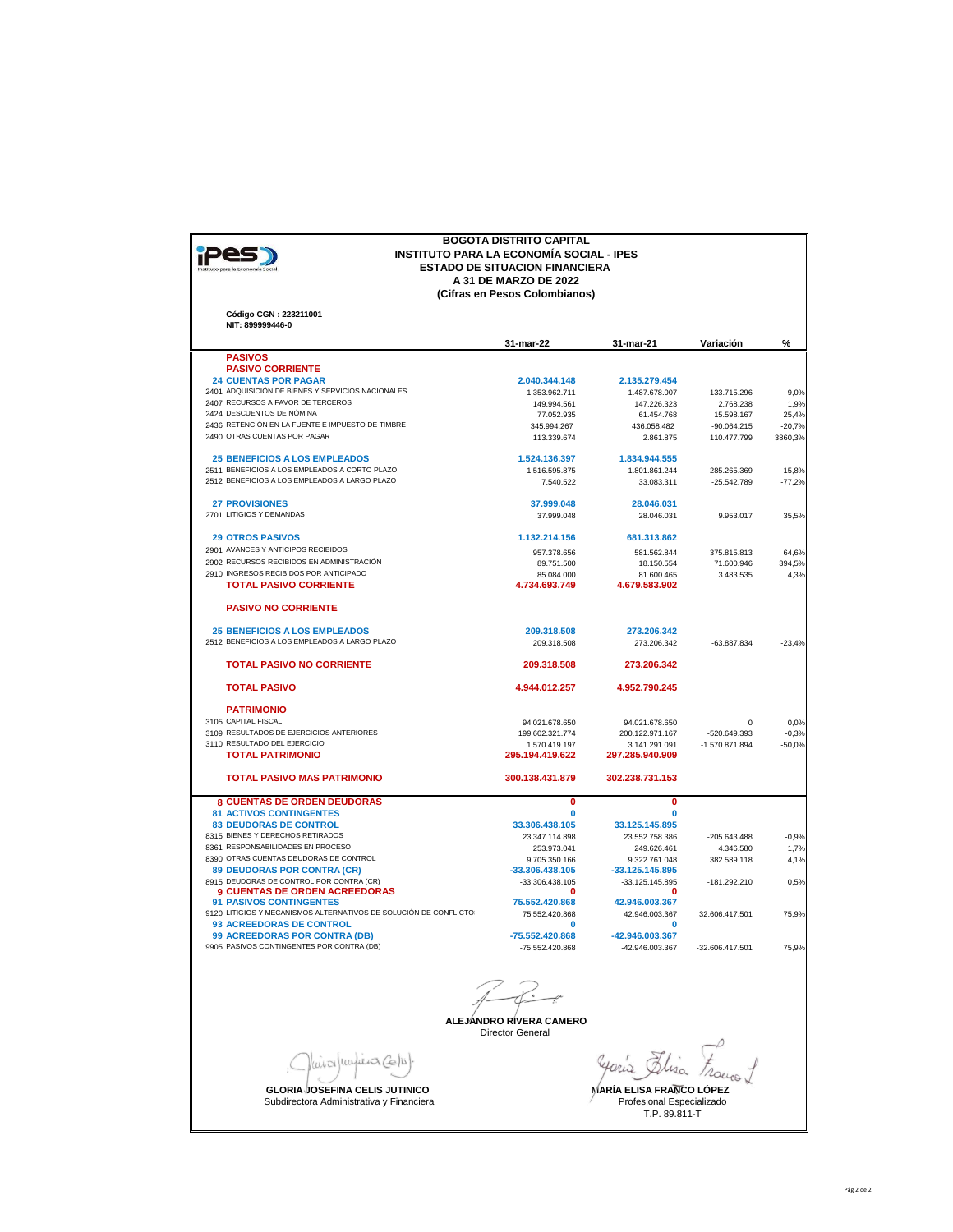| Instituto para la Economía Social |
|-----------------------------------|
|                                   |

## **BOGOTA DISTRITO CAPITAL INSTITUTO PARA LA ECONOMÍA SOCIAL - IPES ESTADO DE SITUACION FINANCIERA A 31 DE MARZO DE 2022 (Cifras en Pesos Colombianos)**

**Código CGN : 223211001 NIT: 899999446-0**

|                                                                                                     | 31-mar-22                        | 31-mar-21                        | Variación                   | $\%$            |
|-----------------------------------------------------------------------------------------------------|----------------------------------|----------------------------------|-----------------------------|-----------------|
| <b>PASIVOS</b>                                                                                      |                                  |                                  |                             |                 |
| <b>PASIVO CORRIENTE</b>                                                                             |                                  |                                  |                             |                 |
| <b>24 CUENTAS POR PAGAR</b><br>2401 ADQUISICIÓN DE BIENES Y SERVICIOS NACIONALES                    | 2.040.344.148                    | 2.135.279.454                    |                             |                 |
| 2407 RECURSOS A FAVOR DE TERCEROS                                                                   | 1.353.962.711<br>149.994.561     | 1.487.678.007<br>147.226.323     | -133.715.296<br>2.768.238   | $-9,0%$<br>1.9% |
| 2424 DESCUENTOS DE NÓMINA                                                                           | 77.052.935                       | 61.454.768                       | 15.598.167                  | 25,4%           |
| 2436 RETENCIÓN EN LA FUENTE E IMPUESTO DE TIMBRE                                                    | 345.994.267                      | 436.058.482                      | $-90.064.215$               | $-20,7%$        |
| 2490 OTRAS CUENTAS POR PAGAR                                                                        | 113.339.674                      | 2.861.875                        | 110.477.799                 | 3860,3%         |
| <b>25 BENEFICIOS A LOS EMPLEADOS</b>                                                                | 1.524.136.397                    | 1.834.944.555                    |                             |                 |
| 2511 BENEFICIOS A LOS EMPLEADOS A CORTO PLAZO                                                       | 1.516.595.875                    | 1.801.861.244                    | -285.265.369                | $-15,8%$        |
| 2512 BENEFICIOS A LOS EMPLEADOS A LARGO PLAZO                                                       | 7.540.522                        | 33.083.311                       | $-25.542.789$               | $-77,2%$        |
| <b>27 PROVISIONES</b>                                                                               | 37.999.048                       | 28.046.031                       |                             |                 |
| 2701 LITIGIOS Y DEMANDAS                                                                            | 37.999.048                       | 28.046.031                       | 9.953.017                   | 35,5%           |
| <b>29 OTROS PASIVOS</b>                                                                             | 1.132.214.156                    | 681.313.862                      |                             |                 |
| 2901 AVANCES Y ANTICIPOS RECIBIDOS                                                                  | 957.378.656                      | 581.562.844                      | 375.815.813                 | 64,6%           |
| 2902 RECURSOS RECIBIDOS EN ADMINISTRACIÓN                                                           | 89.751.500                       | 18.150.554                       | 71.600.946                  | 394,5%          |
| 2910 INGRESOS RECIBIDOS POR ANTICIPADO<br><b>TOTAL PASIVO CORRIENTE</b>                             | 85.084.000<br>4.734.693.749      | 81.600.465<br>4.679.583.902      | 3.483.535                   | 4,3%            |
| <b>PASIVO NO CORRIENTE</b>                                                                          |                                  |                                  |                             |                 |
| <b>25 BENEFICIOS A LOS EMPLEADOS</b>                                                                | 209.318.508                      | 273.206.342                      |                             |                 |
| 2512 BENEFICIOS A LOS EMPLEADOS A LARGO PLAZO                                                       | 209.318.508                      | 273.206.342                      | -63.887.834                 | $-23.4%$        |
| <b>TOTAL PASIVO NO CORRIENTE</b>                                                                    | 209.318.508                      | 273.206.342                      |                             |                 |
| <b>TOTAL PASIVO</b>                                                                                 | 4.944.012.257                    | 4.952.790.245                    |                             |                 |
| <b>PATRIMONIO</b>                                                                                   |                                  |                                  |                             |                 |
| 3105 CAPITAL FISCAL                                                                                 | 94.021.678.650                   | 94.021.678.650                   | $\Omega$                    | 0,0%            |
| 3109 RESULTADOS DE EJERCICIOS ANTERIORES                                                            | 199.602.321.774                  | 200.122.971.167                  | -520.649.393                | $-0,3%$         |
| 3110 RESULTADO DEL EJERCICIO                                                                        | 1.570.419.197                    | 3.141.291.091                    | $-1.570.871.894$            | $-50,0%$        |
| <b>TOTAL PATRIMONIO</b>                                                                             | 295.194.419.622                  | 297.285.940.909                  |                             |                 |
| <b>TOTAL PASIVO MAS PATRIMONIO</b>                                                                  | 300.138.431.879                  | 302.238.731.153                  |                             |                 |
| <b>8 CUENTAS DE ORDEN DEUDORAS</b>                                                                  | 0                                | 0                                |                             |                 |
| <b>81 ACTIVOS CONTINGENTES</b>                                                                      | $\bf{0}$                         | $\bf{0}$                         |                             |                 |
| <b>83 DEUDORAS DE CONTROL</b><br>8315 BIENES Y DERECHOS RETIRADOS                                   | 33.306.438.105                   | 33.125.145.895                   |                             |                 |
| 8361 RESPONSABILIDADES EN PROCESO                                                                   | 23.347.114.898<br>253.973.041    | 23.552.758.386<br>249.626.461    | $-205.643.488$<br>4.346.580 | $-0.9%$<br>1,7% |
| 8390 OTRAS CUENTAS DEUDORAS DE CONTROL                                                              | 9.705.350.166                    | 9.322.761.048                    | 382.589.118                 | 4,1%            |
| 89 DEUDORAS POR CONTRA (CR)                                                                         | -33.306.438.105                  | $-33.125.145.895$                |                             |                 |
| 8915 DEUDORAS DE CONTROL POR CONTRA (CR)                                                            | -33.306.438.105                  | -33.125.145.895                  | -181.292.210                | 0,5%            |
| <b>9 CUENTAS DE ORDEN ACREEDORAS</b>                                                                | n                                | o                                |                             |                 |
| <b>91 PASIVOS CONTINGENTES</b><br>9120 LITIGIOS Y MECANISMOS ALTERNATIVOS DE SOLUCIÓN DE CONFLICTO: | 75.552.420.868<br>75.552.420.868 | 42.946.003.367<br>42.946.003.367 | 32.606.417.501              | 75,9%           |
| 93 ACREEDORAS DE CONTROL                                                                            | $\Omega$                         | n                                |                             |                 |
| <b>99 ACREEDORAS POR CONTRA (DB)</b>                                                                | -75.552.420.868                  | -42.946.003.367                  |                             |                 |
| 9905 PASIVOS CONTINGENTES POR CONTRA (DB)                                                           | -75.552.420.868                  | -42.946.003.367                  | -32.606.417.501             | 75.9%           |
|                                                                                                     | ALEJÁNDRO RÍVERA CAMERO          |                                  |                             |                 |
|                                                                                                     | <b>Director General</b>          |                                  |                             |                 |

Vaior (unfiera Co/1)

**GLORIA JOSEFINA CELIS JUTINICO**<br>Subdirectora Administrativa y Financiera Profesional Especializado Profesional Especializado

yaria Elisa Frances L

MARÍA ELISA FRANCO LÓPEZ<br>Profesional Especializado<br>T.P. 89.811-T